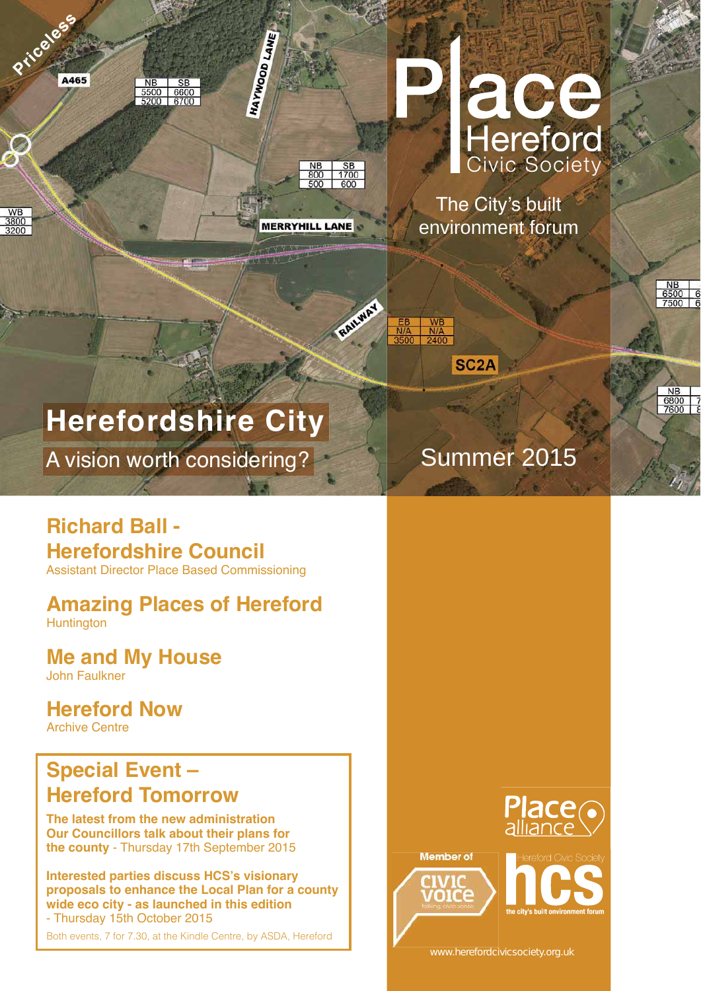

Summer 2015

The City's built environment forum





SC<sub>2</sub>A



NB<br>6800 7<br>7600 8

## **Amazing Places of Hereford** Huntington

## **Richard Ball - Herefordshire Council**

Assistant Director Place Based Commissioning

**Me and My House**  John Faulkner

**The latest from the new administration Our Councillors talk about their plans for the county** - Thursday 17th September 2015

**,nterested parties discuss HCS·s visionary proposals to enhance the Local Plan for a county wide eco city - as launched in this edition** - Thursday 15th October 2015

## **Special Event – Hereford Tomorrow**

## **Hereford Now Archive Centre**



WB<br>3800



**MERRYHILL LANE** 

**HATTLEGORIANE** 



Both events, 7 for 7.30, at the Kindle Centre, by ASDA, Hereford

## **Herefordshire City**

A vision worth considering?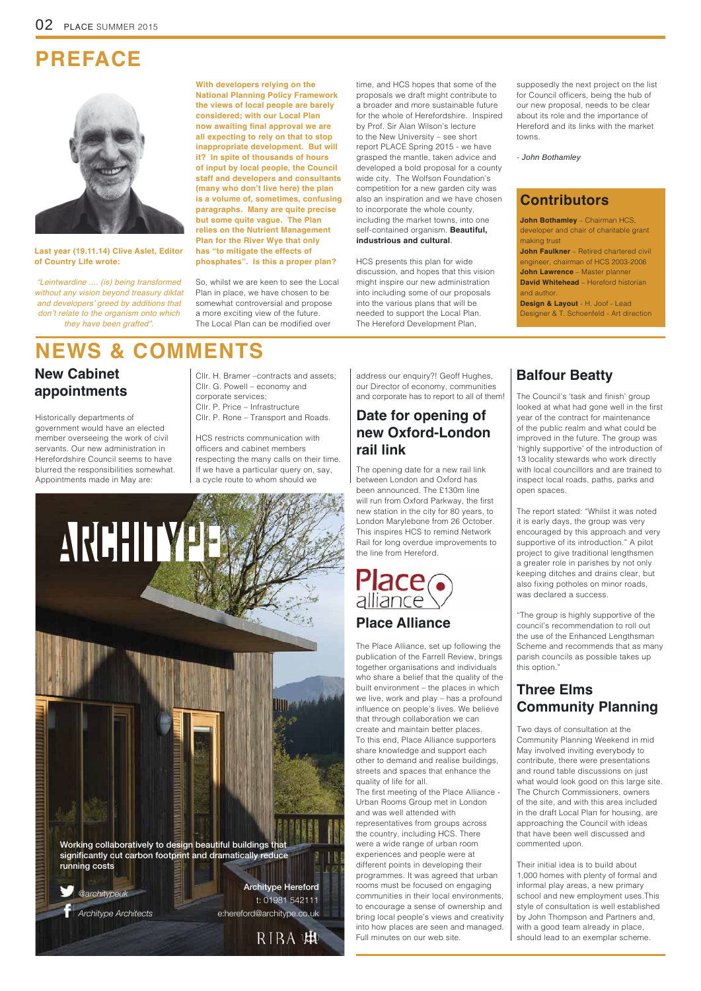@architypeuk

Architype Architects

**Architype Hereford** t: 01981 542111 e:hereford@architype.co.uk

RIBA 串

**Working collaboratively to design beautiful buildings that significantly cut carbon footprint and dramatically reduce running costs**

## **PREFACE**



## **NEWS & COMMENTS**

## **New Cabinet appointments**

## **Date for opening of new Oxford-London rail link**

## **Place Alliance**

## **Balfour Beatty**

## **Three Elms Community Planning**

So, whilst we are keen to see the Local Plan in place, we have chosen to be somewhat controversial and propose a more exciting view of the future. The Local Plan can be modified over

**With developers relying on the National Planning Policy Framework the views of local people are barely considered; with our Local Plan now awaiting final approval we are all expecting to rely on that to stop inappropriate development. But will it? In spite of thousands of hours of input by local people, the Council staff and developers and consultants many who don·t live here the plan is a volume of, sometimes, confusing paragraphs. Many are quite precise but some quite vague. The Plan relies on the Nutrient Management Plan for the River Wye that only has "to mitigate the effects of phosphates". Is this a proper plan?**

Last year (19.11.14) Clive Aslet, Editor **of Country Life wrote:** 

time, and HCS hopes that some of the proposals we draft might contribute to a broader and more sustainable future for the whole of Herefordshire. Inspired by Prof. Sir Alan Wilson's lecture to the New University – see short report PLACE Spring 2015 - we have grasped the mantle, taken advice and developed a bold proposal for a county wide city. The Wolfson Foundation's competition for a new garden city was also an inspiration and we have chosen to incorporate the whole county, including the market towns, into one self-contained organism. **Beautiful, industrious and cultural**.

HCS presents this plan for wide discussion, and hopes that this vision might inspire our new administration into including some of our proposals into the various plans that will be needed to support the Local Plan. The Hereford Development Plan,

*"Leintwardine .... (is) being transformed without any vision beyond treasury diktat and developers' greed by additions that don't relate to the organism onto which they have been grafted".* 

> The first meeting of the Place Alliance -Urban Rooms Group met in London and was well attended with representatives from groups across the country, including HCS. There were a wide range of urban room experiences and people were at different points in developing their programmes. It was agreed that urban rooms must be focused on engaging communities in their local environments, to encourage a sense of ownership and bring local people's views and creativity into how places are seen and managed. Full minutes on our web site.

address our enquiry?! Geoff Hughes, our Director of economy, communities and corporate has to report to all of them!  $\vert$  The Council's 'task and finish' group

Historically departments of government would have an elected member overseeing the work of civil servants. Our new administration in Herefordshire Council seems to have blurred the responsibilities somewhat. Appointments made in May are:

looked at what had gone well in the first year of the contract for maintenance of the public realm and what could be improved in the future. The group was 'highly supportive' of the introduction of 13 locality stewards who work directly with local councillors and are trained to inspect local roads, paths, parks and open spaces.

supposedly the next project on the list for Council officers, being the hub of our new proposal, needs to be clear about its role and the importance of Hereford and its links with the market towns.

- *John Bothamley*

Cllr. H. Bramer –contracts and assets; Cllr. G. Powell – economy and corporate services; Cllr. P. Price – Infrastructure Cllr. P. Rone – Transport and Roads.

HCS restricts communication with officers and cabinet members respecting the many calls on their time. If we have a particular query on, say, a cycle route to whom should we



**John Faulkner** – Retired chartered civil engineer, chairman of HCS 2003-2006 **John Lawrence** – Master planner **David Whitehead** – Hereford historian and author. **Design & Layout** - H. Joof - Lead

The opening date for a new rail link between London and Oxford has been announced. The £130m line will run from Oxford Parkway, the first new station in the city for 80 years, to London Marylebone from 26 October. This inspires HCS to remind Network Rail for long overdue improvements to the line from Hereford.

# **Place**<br>alliance

The Place Alliance, set up following the publication of the Farrell Review, brings together organisations and individuals who share a belief that the quality of the built environment – the places in which we live, work and play – has a profound influence on people's lives. We believe that through collaboration we can create and maintain better places.

To this end, Place Alliance supporters

share knowledge and support each other to demand and realise buildings, streets and spaces that enhance the quality of life for all.

The report stated: "Whilst it was noted it is early days, the group was very encouraged by this approach and very supportive of its introduction." A pilot project to give traditional lengthsmen a greater role in parishes by not only keeping ditches and drains clear, but also fixing potholes on minor roads, was declared a success.

"The group is highly supportive of the council's recommendation to roll out the use of the Enhanced Lengthsman Scheme and recommends that as many parish councils as possible takes up this option."

Two days of consultation at the Community Planning Weekend in mid May involved inviting everybody to contribute, there were presentations and round table discussions on just what would look good on this large site. The Church Commissioners, owners of the site, and with this area included in the draft Local Plan for housing, are approaching the Council with ideas that have been well discussed and commented upon.

Their initial idea is to build about 1,000 homes with plenty of formal and informal play areas, a new primary school and new employment uses.This style of consultation is well established by John Thompson and Partners and, with a good team already in place, should lead to an exemplar scheme.

**John Bothamley** – Chairman HCS, developer and chair of charitable grant making trust

Designer & T. Schoenfeld - Art direction

### **Contributors**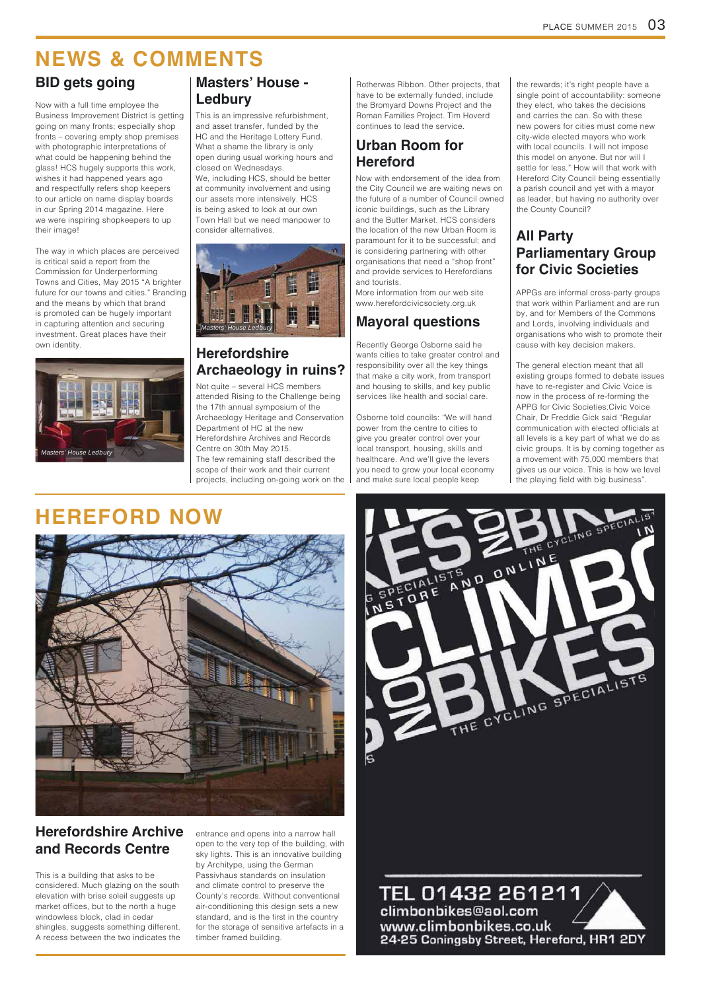## **HEREFORD NOW**





## **NEWS & COMMENTS**

This is a building that asks to be considered. Much glazing on the south elevation with brise soleil suggests up market offices, but to the north a huge windowless block, clad in cedar shingles, suggests something different. A recess between the two indicates the

entrance and opens into a narrow hall open to the very top of the building, with sky lights. This is an innovative building by Architype, using the German Passivhaus standards on insulation and climate control to preserve the County's records. Without conventional air-conditioning this design sets a new standard, and is the first in the country for the storage of sensitive artefacts in a timber framed building.

### TEL 01432 261211, climbonbikes@aol.com www.climbonbikes.co.uk 24-25 Coningsby Street, Hereford, HR1 2DY

### **Herefordshire Archaeology in ruins?**

Not quite – several HCS members attended Rising to the Challenge being the 17th annual symposium of the Archaeology Heritage and Conservation Department of HC at the new Herefordshire Archives and Records Centre on 30th May 2015. The few remaining staff described the scope of their work and their current projects, including on-going work on the

## **BID gets going**



### **Herefordshire Archive and Records Centre**

Rotherwas Ribbon. Other projects, that have to be externally funded, include the Bromyard Downs Project and the Roman Families Project. Tim Hoverd continues to lead the service.



## **Urban Room for Hereford**

Now with endorsement of the idea from the City Council we are waiting news on the future of a number of Council owned iconic buildings, such as the Library and the Butter Market. HCS considers the location of the new Urban Room is  $\begin{array}{c|c|c} \text{consider alternatives.} & \text{the location of the new Urban Room is} \end{array} \begin{array}{c} \text{AII Party} \end{array}$ is considering partnering with other organisations that need a "shop front" and provide services to Herefordians and tourists.

> The general election meant that all existing groups formed to debate issues have to re-register and Civic Voice is now in the process of re-forming the APPG for Civic Societies.Civic Voice Chair, Dr Freddie Gick said "Regular communication with elected officials at all levels is a key part of what we do as civic groups. It is by coming together as a movement with 75,000 members that gives us our voice. This is how we level the playing field with big business".

More information from our web site www.herefordcivicsociety.org.uk

Now with a full time employee the Business Improvement District is getting going on many fronts; especially shop fronts – covering empty shop premises with photographic interpretations of what could be happening behind the glass! HCS hugely supports this work, wishes it had happened years ago and respectfully refers shop keepers to our article on name display boards in our Spring 2014 magazine. Here we were inspiring shopkeepers to up their image!

The way in which places are perceived is critical said a report from the Commission for Underperforming Towns and Cities, May 2015 "A brighter future for our towns and cities." Branding and the means by which that brand is promoted can be hugely important in capturing attention and securing investment. Great places have their own identity.

## **Masters· House - Ledbury**

This is an impressive refurbishment, and asset transfer, funded by the HC and the Heritage Lottery Fund. What a shame the library is only open during usual working hours and closed on Wednesdays. We, including HCS, should be better at community involvement and using our assets more intensively. HCS is being asked to look at our own Town Hall but we need manpower to

## **Parliamentary Group for Civic Societies**

APPGs are informal cross-party groups that work within Parliament and are run by, and for Members of the Commons and Lords, involving individuals and organisations who wish to promote their cause with key decision makers.

## **Mayoral questions**

Recently George Osborne said he wants cities to take greater control and responsibility over all the key things that make a city work, from transport and housing to skills, and key public services like health and social care.

Osborne told councils: "We will hand power from the centre to cities to give you greater control over your local transport, housing, skills and healthcare. And we'll give the levers you need to grow your local economy and make sure local people keep

S

the rewards; it's right people have a single point of accountability: someone they elect, who takes the decisions and carries the can. So with these new powers for cities must come new city-wide elected mayors who work with local councils. I will not impose this model on anyone. But nor will I settle for less." How will that work with Hereford City Council being essentially a parish council and yet with a mayor as leader, but having no authority over the County Council?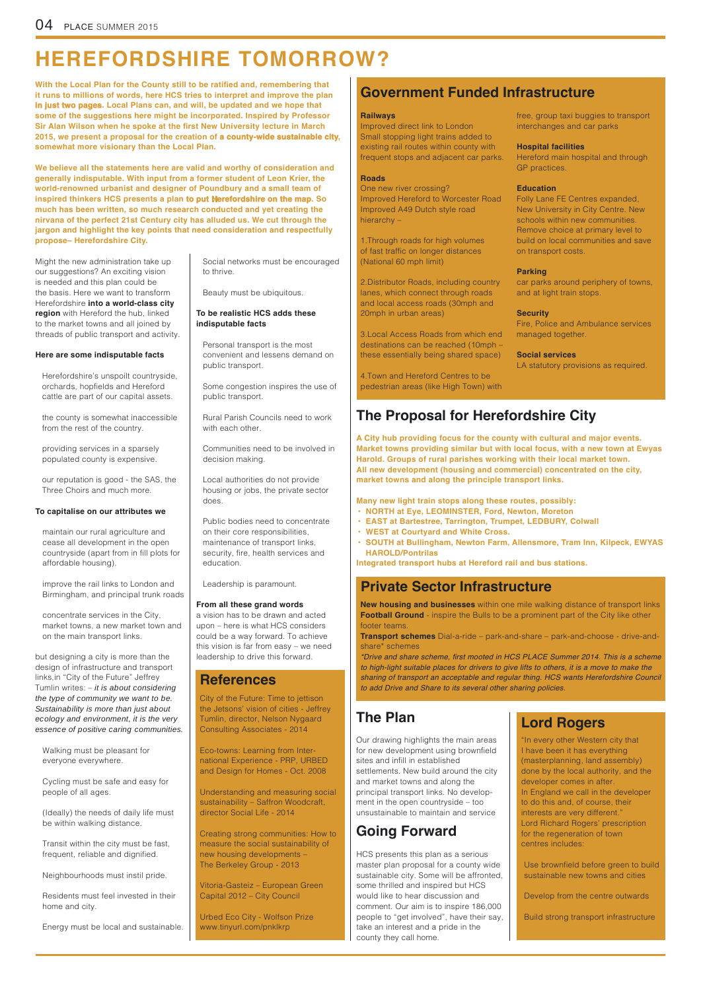## **HEREFORDSHIRE TOMORROW?**

## **The Proposal for Herefordshire City**

Might the new administration take up our suggestions? An exciting vision is needed and this plan could be the basis. Here we want to transform Herefordshire **into a world-class city region** with Hereford the hub, linked to the market towns and all joined by threads of public transport and activity.

#### **Here are some indisputable facts**

Personal transport is the most convenient and lessens demand on public transport.

Some congestion inspires the use of public transport.

Rural Parish Councils need to work with each other.

Communities need to be involved in decision making.

Local authorities do not provide housing or jobs, the private sector does.

Public bodies need to concentrate on their core responsibilities, maintenance of transport links, security, fire, health services and education.

Leadership is paramount.

**Many new light train stops along these routes, possibly:** 

- **NORTH at Eye, LEOMINSTER, Ford, Newton, Moreton**
- **EAST at Bartestree, Tarrington, Trumpet, LEDBURY, Colwall**
- **WEST at Courtyard and White Cross.**
- **SOUTH at Bullingham, Newton Farm, Allensmore, Tram Inn, Kilpeck, EWYAS HAROLD/Pontrilas**

**With the Local Plan for the County still to be ratified and, remembering that it runs to millions of words, here HCS tries to interpret and improve the plan in just two pages. Local Plans can, and will, be updated and we hope that some of the suggestions here might be incorporated. Inspired by Professor Sir Alan Wilson when he spoke at the first New University lecture in March 2015, we present a proposal for the creation of a county-wide sustainable city, somewhat more visionary than the Local Plan.** 

**Integrated transport hubs at Hereford rail and bus stations.**

#### **To capitalise on our attributes we**

#### **From all these grand words**

a vision has to be drawn and acted upon – here is what HCS considers could be a way forward. To achieve this vision is far from easy – we need leadership to drive this forward.

#### **To be realistic HCS adds these indisputable facts**

but designing a city is more than the design of infrastructure and transport links,in "City of the Future" Jeffrey Tumlin writes: – *it is about considering the type of community we want to be. Sustainability is more than just about ecology and environment, it is the very essence of positive caring communities.* 

Transit within the city must be fast, frequent, reliable and dignified.

> Use brownfield before green to build sustainable new towns and cities

**We believe all the statements here are valid and worthy of consideration and generally indisputable. With input from a former student of Leon Krier, the world-renowned urbanist and designer of Poundbury and a small team of inspired thinkers HCS presents a plan to put Herefordshire on the map. So much has been written, so much research conducted and yet creating the nirvana of the perfect 21st Century city has alluded us. We cut through the jargon and highlight the key points that need consideration and respectfully propose– Herefordshire City.**

> **A City hub providing focus for the county with cultural and major events. Market towns providing similar but with local focus, with a new town at Ewyas Harold. Groups of rural parishes working with their local market town. All new development housing and commercial concentrated on the city, market towns and along the principle transport links.**

'*rive and share s*F*heme* À*rst mooted in* +&6 3*L*\$&( 6*ummer .* 7*his is a s*F*heme to high-light suitable places for drivers to give lifts to others, it is a move to make the sharing of transport an acceptable and regular thing. HCS wants Herefordshire Council to add Drive and Share to its several other sharing policies.* 

Herefordshire's unspoilt countryside, orchards, hopfields and Hereford cattle are part of our capital assets.

the county is somewhat inaccessible from the rest of the country.

providing services in a sparsely populated county is expensive.

our reputation is good - the SAS, the Three Choirs and much more.

maintain our rural agriculture and cease all development in the open countryside (apart from in fill plots for affordable housing).

improve the rail links to London and Birmingham, and principal trunk roads

concentrate services in the City, market towns, a new market town and on the main transport links.

Walking must be pleasant for everyone everywhere.

Cycling must be safe and easy for people of all ages.

(Ideally) the needs of daily life must be within walking distance.

Neighbourhoods must instil pride.

Residents must feel invested in their home and city.

Energy must be local and sustainable.

## **Lord Rogers**

"In every other Western city that

I have been it has everything (masterplanning, land assembly) done by the local authority, and the developer comes in after. In England we call in the developer to do this and, of course, their interests are very different." Lord Richard Rogers' prescription for the regeneration of town centres includes:

Develop from the centre outwards Build strong transport infrastructure

## **Government Funded Infrastructure**

#### **Railways**

Improved direct link to London Small stopping light trains added to existing rail routes within county with frequent stops and adjacent car parks.

#### **Roads**

One new river crossing? Improved Hereford to Worcester Road Improved A49 Dutch style road hierarchy –

1.Through roads for high volumes of fast traffic on longer distances (National 60 mph limit)

2.Distributor Roads, including country lanes, which connect through roads and local access roads (30mph and 20mph in urban areas)

3.Local Access Roads from which end destinations can be reached (10mph – these essentially being shared space)

4.Town and Hereford Centres to be pedestrian areas (like High Town) with

### **Going Forward**

HCS presents this plan as a serious master plan proposal for a county wide sustainable city. Some will be affronted, some thrilled and inspired but HCS would like to hear discussion and comment. Our aim is to inspire 186,000 people to "get involved", have their say, take an interest and a pride in the county they call home.

## **The Plan**

Our drawing highlights the main areas for new development using brownfield sites and infill in established settlements. New build around the city and market towns and along the principal transport links. No development in the open countryside – too unsustainable to maintain and service

### **Private Sector Infrastructure**

**New housing and businesses** within one mile walking distance of transport links **Football Ground** - inspire the Bulls to be a prominent part of the City like other footer teams.

**Transport schemes** Dial-a-ride – park-and-share – park-and-choose - drive-andshare\* schemes

### **References**

City of the Future: Time to jettison the Jetsons' vision of cities - Jeffrey Tumlin, director, Nelson Nygaard Consulting Associates - 2014

Eco-towns: Learning from International Experience - PRP, URBED and Design for Homes - Oct. 2008

Understanding and measuring social sustainability – Saffron Woodcraft, director Social Life - 2014

Creating strong communities: How to measure the social sustainability of new housing developments – The Berkeley Group - 2013

Vitoria-Gasteiz – European Green Capital 2012 – City Council

Urbed Eco City - Wolfson Prize www.tinyurl.com/pnklkrp

Social networks must be encouraged to thrive.

Beauty must be ubiquitous.

free, group taxi buggies to transport interchanges and car parks

#### **Hospital facilities**

Hereford main hospital and through GP practices.

#### **Education**

Folly Lane FE Centres expanded, New University in City Centre. New schools within new communities. Remove choice at primary level to build on local communities and save on transport costs.

#### **Parking**

car parks around periphery of towns, and at light train stops.

#### **Security**

Fire, Police and Ambulance services managed together.

#### **Social services**

LA statutory provisions as required.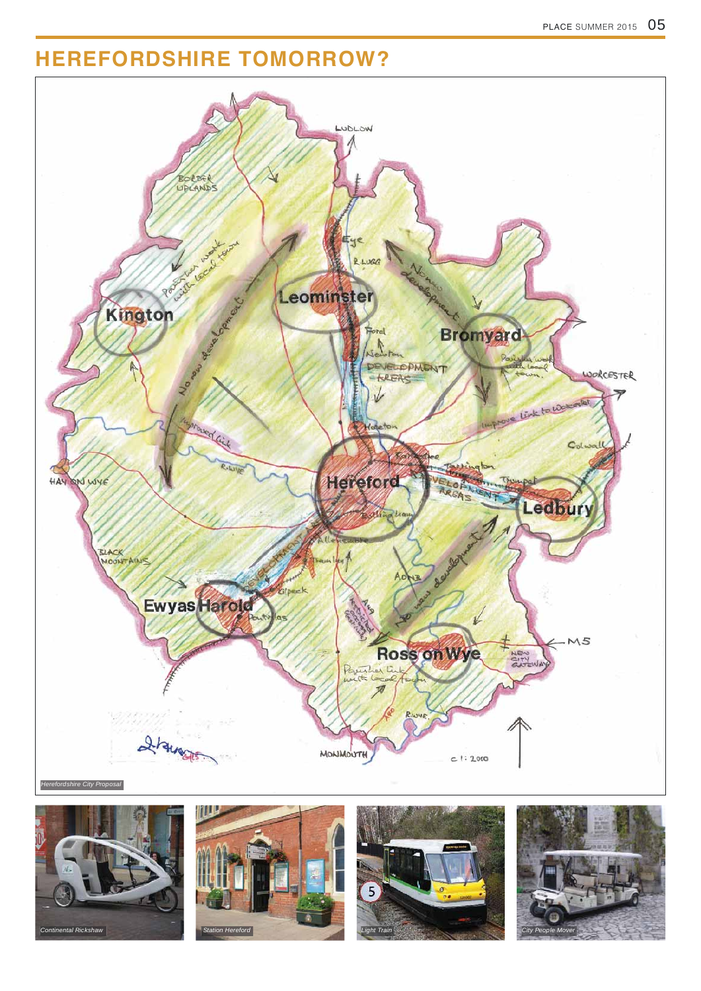## **HEREFORDSHIRE TOMORROW?**



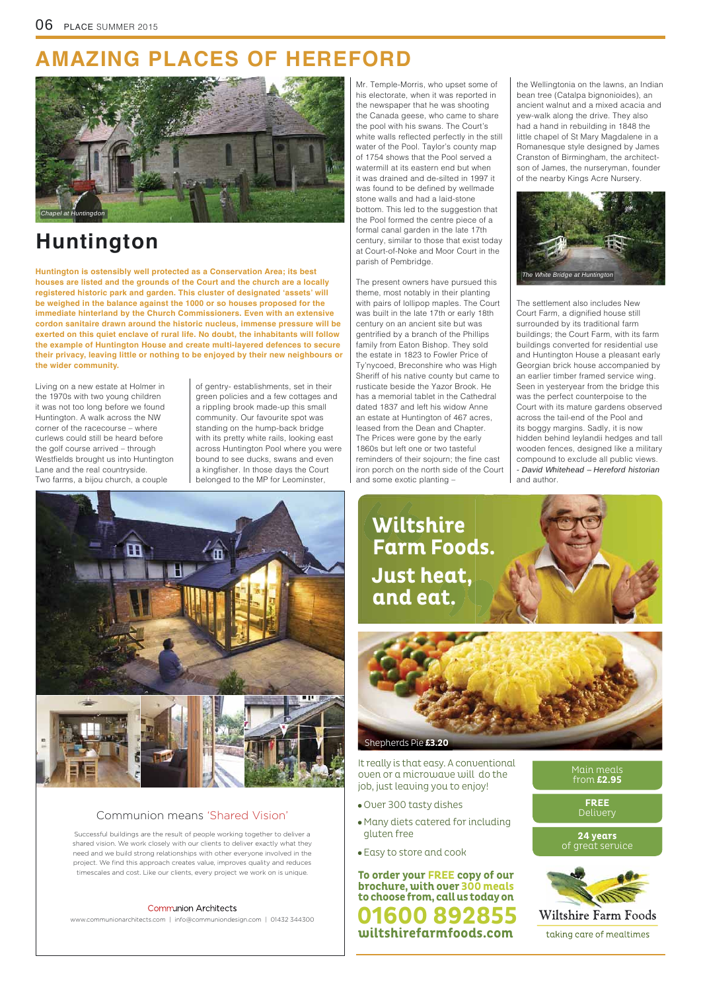www.communionarchitects.com | info@communiondesign.com | 01432 344300

Successful buildings are the result of people working together to deliver a shared vision. We work closely with our clients to deliver exactly what they need and we build strong relationships with other everyone involved in the project. We find this approach creates value, improves quality and reduces timescales and cost. Like our clients, every project we work on is unique.

#### **Communion Architects**

#### Communion means 'Shared Vision'

## **AMAZING PLACES OF HEREFORD**

## **Huntington**

**Huntington is ostensibly well protected as a Conservation Area; its best houses are listed and the grounds of the Court and the church are a locally registered historic park and garden. This cluster of designated 'assets' will be weighed in the balance against the 1000 or so houses proposed for the immediate hinterland by the Church Commissioners. Even with an extensive cordon sanitaire drawn around the historic nucleus, immense pressure will be exerted on this quiet enclave of rural life. No doubt, the inhabitants will follow the example of Huntington House and create multi-layered defences to secure their privacy, leaving little or nothing to be enjoyed by their new neighbours or the wider community.**

Living on a new estate at Holmer in the 1970s with two young children it was not too long before we found Huntington. A walk across the NW corner of the racecourse – where curlews could still be heard before the golf course arrived – through Westfields brought us into Huntington Lane and the real countryside. Two farms, a bijou church, a couple

of gentry- establishments, set in their green policies and a few cottages and a rippling brook made-up this small community. Our favourite spot was standing on the hump-back bridge with its pretty white rails, looking east across Huntington Pool where you were bound to see ducks, swans and even a kingfisher. In those days the Court belonged to the MP for Leominster,

## Main meals from **£2.95 FREE** Delivery **24 years** of great service Wiltshire Farm Foods taking care of mealtimes

Mr. Temple-Morris, who upset some of his electorate, when it was reported in the newspaper that he was shooting the Canada geese, who came to share the pool with his swans. The Court's white walls reflected perfectly in the still water of the Pool. Taylor's county map of 1754 shows that the Pool served a watermill at its eastern end but when it was drained and de-silted in 1997 it was found to be defined by wellmade stone walls and had a laid-stone bottom. This led to the suggestion that the Pool formed the centre piece of a formal canal garden in the late 17th century, similar to those that exist today at Court-of-Noke and Moor Court in the parish of Pembridge.

The present owners have pursued this theme, most notably in their planting with pairs of lollipop maples. The Court was built in the late 17th or early 18th century on an ancient site but was gentrified by a branch of the Phillips family from Eaton Bishop. They sold the estate in 1823 to Fowler Price of Ty'nycoed, Breconshire who was High Sheriff of his native county but came to rusticate beside the Yazor Brook. He has a memorial tablet in the Cathedral dated 1837 and left his widow Anne an estate at Huntington of 467 acres, leased from the Dean and Chapter. The Prices were gone by the early 1860s but left one or two tasteful reminders of their sojourn; the fine cast iron porch on the north side of the Court and some exotic planting –

the Wellingtonia on the lawns, an Indian bean tree (Catalpa bignonioides), an ancient walnut and a mixed acacia and yew-walk along the drive. They also had a hand in rebuilding in 1848 the little chapel of St Mary Magdalene in a Romanesque style designed by James Cranston of Birmingham, the architectson of James, the nurseryman, founder of the nearby Kings Acre Nursery.

It really is that easy. A conventional oven or a microwave will do the job, just leaving you to enjoy!

- Over 300 tasty dishes
- Many diets catered for including gluten free
- Easy to store and cook

Shepherds Pie **£3.20**

 **Wiltshire Farm Foods. Just heat, and eat.**

**wiltshirefarmfoods.com 08928 To order your FREE copy of our brochure, with over 300 meals to choose from, call us today on**

The settlement also includes New Court Farm, a dignified house still surrounded by its traditional farm buildings; the Court Farm, with its farm buildings converted for residential use and Huntington House a pleasant early Georgian brick house accompanied by an earlier timber framed service wing. Seen in yesteryear from the bridge this was the perfect counterpoise to the Court with its mature gardens observed across the tail-end of the Pool and its boggy margins. Sadly, it is now hidden behind leylandii hedges and tall wooden fences, designed like a military compound to exclude all public views. *- David Whitehead – Hereford historian* and author.





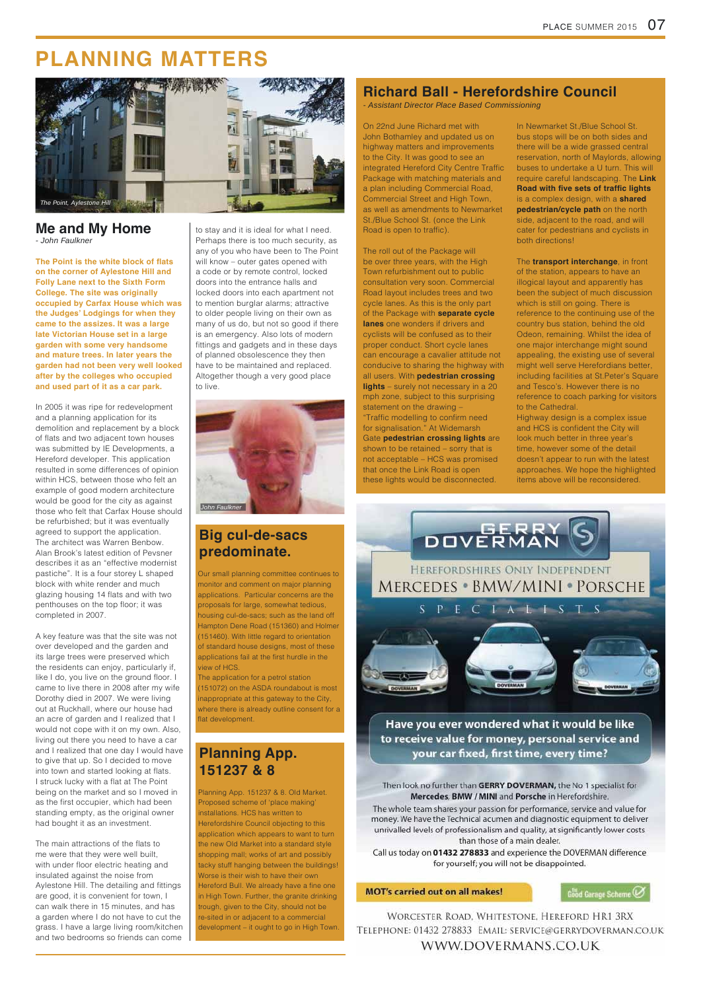## **Big cul-de-sacs predominate.**

The application for a petrol station (151072) on the ASDA roundabout is most inappropriate at this gateway to the City, where there is already outline consent for a flat development.

Our small planning committee continues to monitor and comment on major planning applications. Particular concerns are the proposals for large, somewhat tedious, housing cul-de-sacs; such as the land off Hampton Dene Road (151360) and Holmer (151460). With little regard to orientation of standard house designs, most of these applications fail at the first hurdle in the view of HCS.

### **Planning App. 151237 & 8**

On 22nd June Richard met with John Bothamley and updated us on highway matters and improvements to the City. It was good to see an integrated Hereford City Centre Traffic Package with matching materials and a plan including Commercial Road, Commercial Street and High Town, as well as amendments to Newmarket St./Blue School St. (once the Link Road is open to traffic).

Planning App. 151237 & 8. Old Market. Proposed scheme of 'place making' installations. HCS has written to Herefordshire Council objecting to this application which appears to want to turn the new Old Market into a standard style shopping mall; works of art and possibly tacky stuff hanging between the buildings! Worse is their wish to have their own Hereford Bull. We already have a fine one in High Town. Further, the granite drinking trough, given to the City, should not be re-sited in or adjacent to a commercial development – it ought to go in High Town.

#### your car fixed, first time, every time?

#### Then look no further than GERRY DOVERMAN, the No 1 specialist for Mercedes, BMW / MINI and Porsche in Herefordshire.

The whole team shares your passion for performance, service and value for money. We have the Technical acumen and diagnostic equipment to deliver unrivalled levels of professionalism and quality, at significantly lower costs than those of a main dealer.

Call us today on 01432 278833 and experience the DOVERMAN difference for yourself; you will not be disappointed.

#### **MOT's carried out on all makes!**

Good Garage Scheme

WORCESTER ROAD, WHITESTONE, HEREFORD HR1 3RX TELEPHONE: 01432 278833 EMAIL: SERVICE@GERRYDOVERMAN.CO.UK WWW.DOVERMANS.CO.UK

## **PLANNING MATTERS**

### **Me and My Home**

### **Richard Ball - Herefordshire Council**

The roll out of the Package will be over three years, with the High Town refurbishment out to public consultation very soon. Commercial Road layout includes trees and two cycle lanes. As this is the only part of the Package with **separate cycle lanes** one wonders if drivers and cyclists will be confused as to their proper conduct. Short cycle lanes can encourage a cavalier attitude not conducive to sharing the highway with all users. With **pedestrian crossing lights** – surely not necessary in a 20 mph zone, subject to this surprising statement on the drawing – "Traffic modelling to confirm need for signalisation." At Widemarsh Gate **pedestrian crossing lights** are shown to be retained – sorry that is

**The Point is the white block of flats on the corner of Aylestone Hill and Folly Lane next to the Sixth Form College. The site was originally occupied by Carfax House which was the Judges· Lodgings for when they came to the assizes. It was a large late Victorian House set in a large garden with some very handsome and mature trees. In later years the garden had not been very well looked after by the colleges who occupied and used part of it as a car park.**

> not acceptable – HCS was promised that once the Link Road is open these lights would be disconnected.

In Newmarket St./Blue School St. bus stops will be on both sides and there will be a wide grassed central reservation, north of Maylords, allowing buses to undertake a U turn. This will require careful landscaping. The **Link Road with five sets of traffic lights** is a complex design, with a **shared pedestrian/cycle path on the north** side, adjacent to the road, and will cater for pedestrians and cyclists in both directions!

The main attractions of the flats to me were that they were well built, with under floor electric heating and insulated against the noise from Aylestone Hill. The detailing and fittings are good, it is convenient for town, I can walk there in 15 minutes, and has a garden where I do not have to cut the grass. I have a large living room/kitchen and two bedrooms so friends can come The **transport interchange**, in front of the station, appears to have an illogical layout and apparently has been the subject of much discussion which is still on going. There is reference to the continuing use of the country bus station, behind the old Odeon, remaining. Whilst the idea of one major interchange might sound appealing, the existing use of several might well serve Herefordians better, including facilities at St.Peter's Square and Tesco's. However there is no reference to coach parking for visitors to the Cathedral.

Highway design is a complex issue and HCS is confident the City will look much better in three year's time, however some of the detail doesn't appear to run with the latest approaches. We hope the highlighted items above will be reconsidered.



Have you ever wondered what it would be like to receive value for money, personal service and

*- John Faulkner*

In 2005 it was ripe for redevelopment and a planning application for its demolition and replacement by a block of flats and two adjacent town houses was submitted by IE Developments, a Hereford developer. This application resulted in some differences of opinion within HCS, between those who felt an example of good modern architecture would be good for the city as against those who felt that Carfax House should be refurbished; but it was eventually agreed to support the application. The architect was Warren Benbow. Alan Brook's latest edition of Pevsner describes it as an "effective modernist pastiche". It is a four storey L shaped block with white render and much glazing housing 14 flats and with two penthouses on the top floor; it was completed in 2007.

A key feature was that the site was not over developed and the garden and its large trees were preserved which the residents can enjoy, particularly if, like I do, you live on the ground floor. I came to live there in 2008 after my wife Dorothy died in 2007. We were living out at Ruckhall, where our house had an acre of garden and I realized that I would not cope with it on my own. Also, living out there you need to have a car and I realized that one day I would have to give that up. So I decided to move into town and started looking at flats. I struck lucky with a flat at The Point being on the market and so I moved in as the first occupier, which had been standing empty, as the original owner had bought it as an investment.

to stay and it is ideal for what I need. Perhaps there is too much security, as any of you who have been to The Point will know – outer gates opened with a code or by remote control, locked doors into the entrance halls and locked doors into each apartment not to mention burglar alarms; attractive to older people living on their own as many of us do, but not so good if there is an emergency. Also lots of modern fittings and gadgets and in these days of planned obsolescence they then have to be maintained and replaced. Altogether though a very good place to live.





*- Assistant Director Place Based Commissioning*